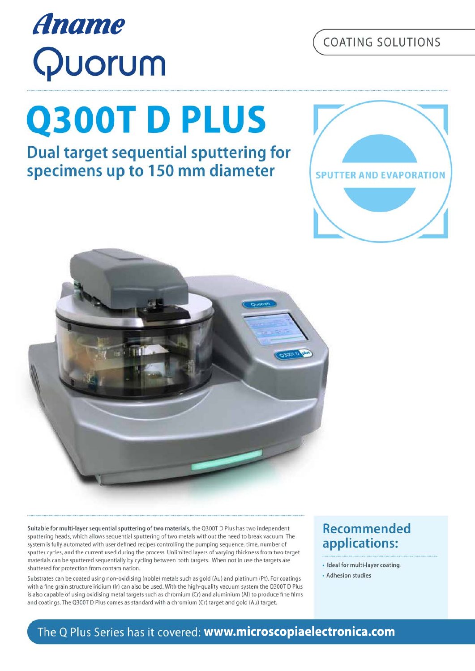# Suitable for multi-layer sequential sputtering of two materials, the Q300T D Plus has two independent sputtering heads, which allows sequential sputtering of two metals without the need to break vacuum. The

system is fully automated with user defined recipes controlling the pumping sequence, time, number of sputter cycles, and the current used during the process. Unlimited layers of varying thickness from two target materials can be sputtered sequentially by cycling between both targets. When not in use the targets are shuttered for protection from contamination.

Substrates can be coated using non-oxidising (noble) metals such as gold (Au) and platinum (Pt). For coatings with a fine grain structure iridium (Ir) can also be used. With the high-quality vacuum system the Q300T D Plus is also capable of using oxidising metal targets such as chromium (Cr) and aluminium (Al) to produce fine films and coatings. The O300T D Plus comes as standard with a chromium (Cr) target and gold (Au) target.

## **Recommended** applications:

- · Ideal for multi-layer coating
- Adhesion studies

# **Q300TDPLUS**

**Aname** 

**Dual target sequential sputtering for** specimens up to 150 mm diameter

# Quorum



# COATING SOLUTIONS

### The Q Plus Series has it covered: www.microscopiaelectronica.com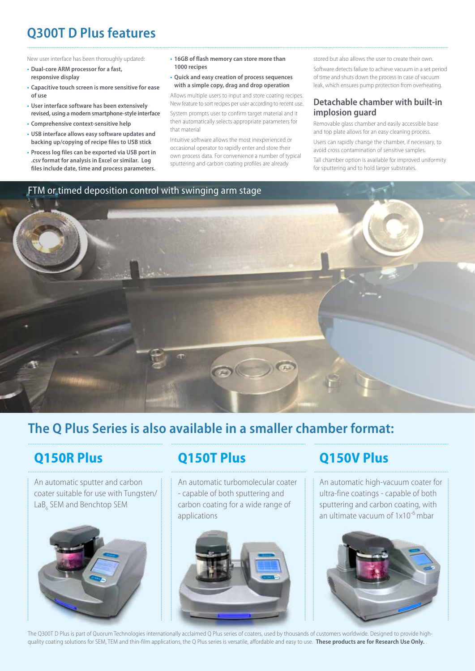# **Q300T D Plus features**

New user interface has been thoroughly updated:

- **• Dual-core ARM processor for a fast, responsive display**
- **• Capacitive touch screen is more sensitive for ease of use**
- **• User interface software has been extensively revised, using a modern smartphone-style interface**
- **• Comprehensive context-sensitive help**
- **• USB interface allows easy software updates and backing up/copying of recipe files to USB stick**
- **• Process log files can be exported via USB port in .csv format for analysis in Excel or similar. Log files include date, time and process parameters.**
- **• 16GB of flash memory can store more than 1000 recipes**
- **• Quick and easy creation of process sequences with a simple copy, drag and drop operation**

Allows multiple users to input and store coating recipes. New feature to sort recipes per user according to recent use. System prompts user to confirm target material and it then automatically selects appropriate parameters for that material

Intuitive software allows the most inexperienced or occasional operator to rapidly enter and store their own process data. For convenience a number of typical sputtering and carbon coating profiles are already

stored but also allows the user to create their own. Software detects failure to achieve vacuum in a set period of time and shuts down the process in case of vacuum leak, which ensures pump protection from overheating.

#### **Detachable chamber with built-in implosion guard**

Removable glass chamber and easily accessible base and top plate allows for an easy cleaning process. Users can rapidly change the chamber, if necessary, to avoid cross contamination of sensitive samples. Tall chamber option is available for improved uniformity

for sputtering and to hold larger substrates.





# **The Q Plus Series is also available in a smaller chamber format:**

# **Q150R Plus**

An automatic sputter and carbon coater suitable for use with Tungsten/ LaB<sub>6</sub> SEM and Benchtop SEM

# **Q150T Plus**

An automatic turbomolecular coater - capable of both sputtering and carbon coating for a wide range of applications



# **Q150V Plus**

An automatic high-vacuum coater for ultra-fine coatings - capable of both sputtering and carbon coating, with an ultimate vacuum of  $1x10^{-6}$  mbar



The Q300T D Plus is part of Quorum Technologies internationally acclaimed Q Plus series of coaters, used by thousands of customers worldwide. Designed to provide highquality coating solutions for SEM, TEM and thin-film applications, the Q Plus series is versatile, affordable and easy to use. **These products are for Research Use Only.** .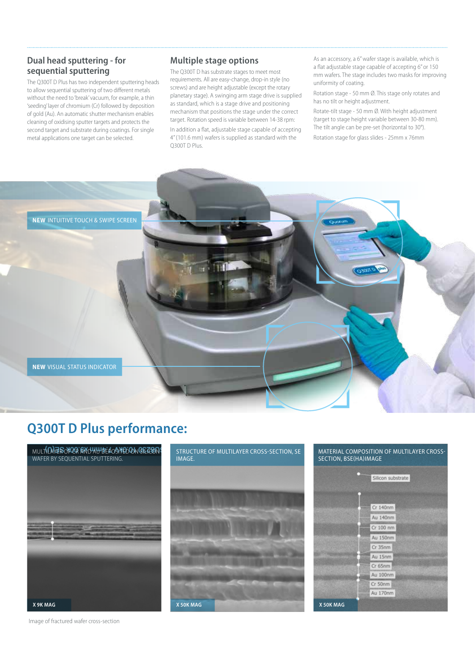#### **Dual head sputtering - for sequential sputtering**

The Q300T D Plus has two independent sputtering heads to allow sequential sputtering of two different metals without the need to 'break' vacuum, for example, a thin 'seeding' layer of chromium (Cr) followed by deposition of gold (Au). An automatic shutter mechanism enables cleaning of oxidising sputter targets and protects the second target and substrate during coatings. For single metal applications one target can be selected.

#### **Multiple stage options**

The Q300T D has substrate stages to meet most requirements. All are easy-change, drop-in style (no screws) and are height adjustable (except the rotary planetary stage). A swinging arm stage drive is supplied as standard, which is a stage drive and positioning mechanism that positions the stage under the correct target. Rotation speed is variable between 14-38 rpm:

In addition a flat, adjustable stage capable of accepting 4" (101.6 mm) wafers is supplied as standard with the Q300T D Plus.

As an accessory, a 6" wafer stage is available, which is a flat adjustable stage capable of accepting 6" or 150 mm wafers. The stage includes two masks for improving uniformity of coating.

Rotation stage - 50 mm Ø. This stage only rotates and has no tilt or height adjustment.

Rotate-tilt stage - 50 mm Ø. With height adjustment (target to stage height variable between 30-80 mm). The tilt angle can be pre-set (horizontal to 30°).

Rotation stage for glass slides - 25mm x 76mm



**NEW** VISUAL STATUS INDICATOR

## **Q300T D Plus performance:**



STRUCTURE OF MULTILAYER CROSS-SECTION, SE **IMAGE** 



Image of fractured wafer cross-section